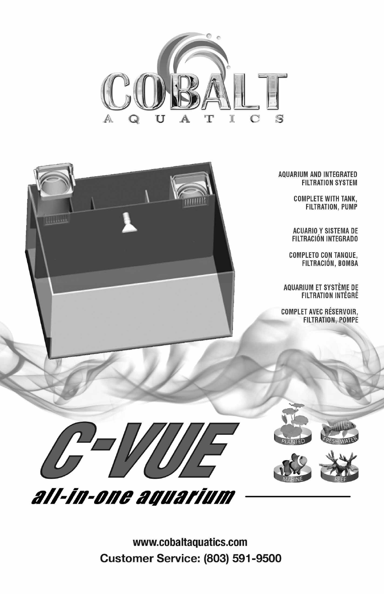

**AQUARIUM AND INTEGRATED FILTRATION SYSTEM** 

> **COMPLETE WITH TANK, FILTRATION, PUMP**

ACUARIO Y SISTEMA DE FILTRACIÓN INTEGRADO

**COMPLETO CON TANQUE,** FILTRACIÓN, BOMBA

AQUARIUM ET SYSTÈME DE<br>FILTRATION INTÉGRÉ

**COMPLET AVEC RÉSERVOIR, FILTRATION, POMPE** 



*<u>Harrist</u>* 

PLANTED





www.cobaltaquatics.com **Customer Service: (803) 591-9500**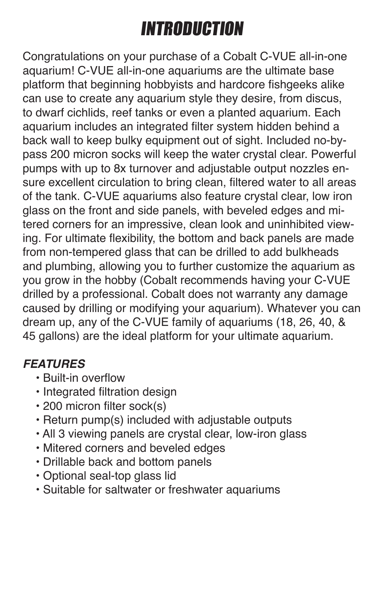# INTRODUCTION

Congratulations on your purchase of a Cobalt C-VUE all-in-one aquarium! C-VUE all-in-one aquariums are the ultimate base platform that beginning hobbyists and hardcore fishgeeks alike can use to create any aquarium style they desire, from discus, to dwarf cichlids, reef tanks or even a planted aquarium. Each aquarium includes an integrated filter system hidden behind a back wall to keep bulky equipment out of sight. Included no-bypass 200 micron socks will keep the water crystal clear. Powerful pumps with up to 8x turnover and adjustable output nozzles ensure excellent circulation to bring clean, filtered water to all areas of the tank. C-VUE aquariums also feature crystal clear, low iron glass on the front and side panels, with beveled edges and mitered corners for an impressive, clean look and uninhibited viewing. For ultimate flexibility, the bottom and back panels are made from non-tempered glass that can be drilled to add bulkheads and plumbing, allowing you to further customize the aquarium as you grow in the hobby (Cobalt recommends having your C-VUE drilled by a professional. Cobalt does not warranty any damage caused by drilling or modifying your aquarium). Whatever you can dream up, any of the C-VUE family of aquariums (18, 26, 40, & 45 gallons) are the ideal platform for your ultimate aquarium.

#### *FEATURES*

- Built-in overflow
- Integrated filtration design
- 200 micron filter sock(s)
- Return pump(s) included with adjustable outputs
- All 3 viewing panels are crystal clear, low-iron glass
- Mitered corners and beveled edges
- Drillable back and bottom panels
- Optional seal-top glass lid
- Suitable for saltwater or freshwater aquariums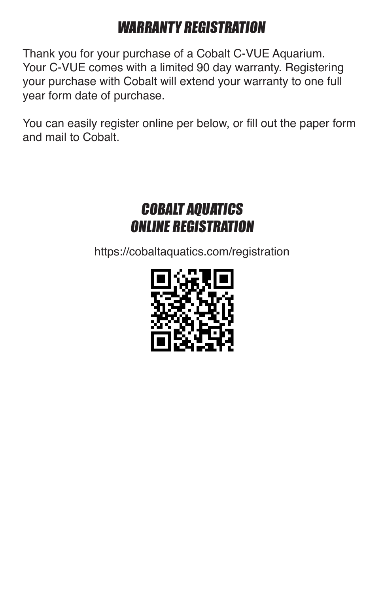### WARRANTY REGISTRATION

Thank you for your purchase of a Cobalt C-VUE Aquarium. Your C-VUE comes with a limited 90 day warranty. Registering your purchase with Cobalt will extend your warranty to one full year form date of purchase.

You can easily register online per below, or fill out the paper form and mail to Cobalt.

#### COBALT AQUATICS ONLINE REGISTRATION

https://cobaltaquatics.com/registration

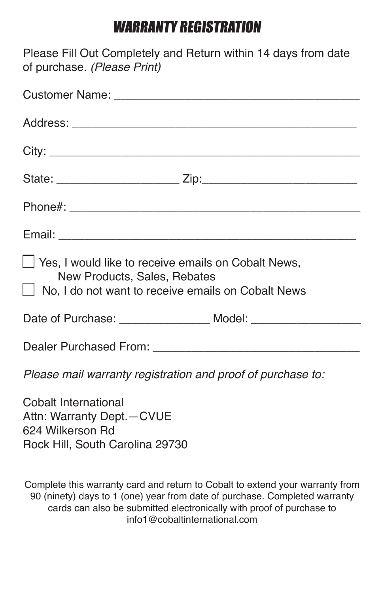#### WARRANTY REGISTRATION

Please Fill Out Completely and Return within 14 days from date of purchase. *(Please Print)*

| □ Yes, I would like to receive emails on Cobalt News,<br>New Products, Sales, Rebates<br>□ No, I do not want to receive emails on Cobalt News |  |  |  |  |  |  |
|-----------------------------------------------------------------------------------------------------------------------------------------------|--|--|--|--|--|--|
| Date of Purchase: _________________________ Model: _____________________________                                                              |  |  |  |  |  |  |
|                                                                                                                                               |  |  |  |  |  |  |
| Please mail warranty registration and proof of purchase to:                                                                                   |  |  |  |  |  |  |
| Cobalt International<br>Attn: Warranty Dept. - CVUE<br>624 Wilkerson Rd<br>Rock Hill, South Carolina 29730                                    |  |  |  |  |  |  |

Complete this warranty card and return to Cobalt to extend your warranty from 90 (ninety) days to 1 (one) year from date of purchase. Completed warranty cards can also be submitted electronically with proof of purchase to info1@cobaltinternational.com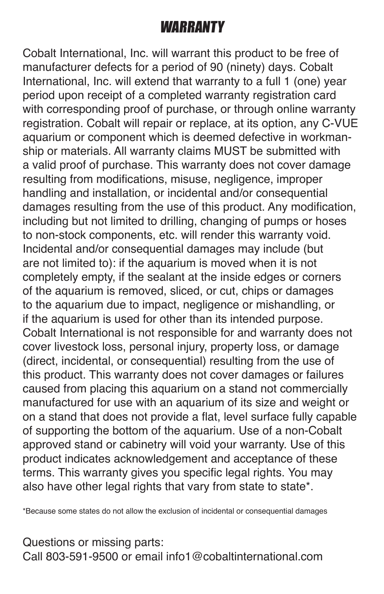#### WARRANTY

Cobalt International, Inc. will warrant this product to be free of manufacturer defects for a period of 90 (ninety) days. Cobalt International, Inc. will extend that warranty to a full 1 (one) year period upon receipt of a completed warranty registration card with corresponding proof of purchase, or through online warranty registration. Cobalt will repair or replace, at its option, any C-VUE aquarium or component which is deemed defective in workmanship or materials. All warranty claims MUST be submitted with a valid proof of purchase. This warranty does not cover damage resulting from modifications, misuse, negligence, improper handling and installation, or incidental and/or consequential damages resulting from the use of this product. Any modification, including but not limited to drilling, changing of pumps or hoses to non-stock components, etc. will render this warranty void. Incidental and/or consequential damages may include (but are not limited to): if the aquarium is moved when it is not completely empty, if the sealant at the inside edges or corners of the aquarium is removed, sliced, or cut, chips or damages to the aquarium due to impact, negligence or mishandling, or if the aquarium is used for other than its intended purpose. Cobalt International is not responsible for and warranty does not cover livestock loss, personal injury, property loss, or damage (direct, incidental, or consequential) resulting from the use of this product. This warranty does not cover damages or failures caused from placing this aquarium on a stand not commercially manufactured for use with an aquarium of its size and weight or on a stand that does not provide a flat, level surface fully capable of supporting the bottom of the aquarium. Use of a non-Cobalt approved stand or cabinetry will void your warranty. Use of this product indicates acknowledgement and acceptance of these terms. This warranty gives you specific legal rights. You may also have other legal rights that vary from state to state\*.

\*Because some states do not allow the exclusion of incidental or consequential damages

Questions or missing parts: Call 803-591-9500 or email info1@cobaltinternational.com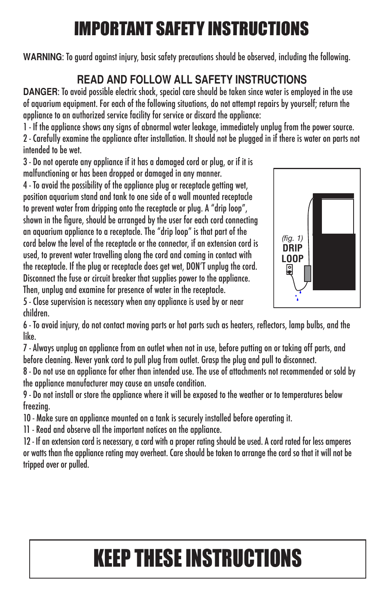## IMPORTANT SAFETY INSTRUCTIONS

**WARNING**: To guard against injury, basic safety precautions should be observed, including the following.

#### **READ AND FOLLOW ALL SAFETY INSTRUCTIONS**

**DANGER**: To avoid possible electric shock, special care should be taken since water is employed in the use of aquarium equipment. For each of the following situations, do not attempt repairs by yourself; return the appliance to an authorized service facility for service or discard the appliance:

1 - If the appliance shows any signs of abnormal water leakage, immediately unplug from the power source.

2 - Carefully examine the appliance after installation. It should not be plugged in if there is water on parts not intended to be wet.

3 - Do not operate any appliance if it has a damaged cord or plug, or if it is malfunctioning or has been dropped or damaged in any manner.

4 - To avoid the possibility of the appliance plug or receptacle getting wet, position aquarium stand and tank to one side of a wall mounted receptacle to prevent water from dripping onto the receptacle or plug. A "drip loop", shown in the figure, should be arranged by the user for each cord connecting an aquarium appliance to a receptacle. The "drip loop" is that part of the cord below the level of the receptacle or the connector, if an extension cord is used, to prevent water travelling along the cord and coming in contact with the receptacle. If the plug or receptacle does get wet, DON'T unplug the cord. Disconnect the fuse or circuit breaker that supplies power to the appliance. Then, unplug and examine for presence of water in the receptacle.



5 - Close supervision is necessary when any appliance is used by or near children.

6 - To avoid injury, do not contact moving parts or hot parts such as heaters, reflectors, lamp bulbs, and the like.

7 - Always unplug an appliance from an outlet when not in use, before putting on or taking off parts, and before cleaning. Never yank cord to pull plug from outlet. Grasp the plug and pull to disconnect.

8 - Do not use an appliance for other than intended use. The use of attachments not recommended or sold by the appliance manufacturer may cause an unsafe condition.

9 - Do not install or store the appliance where it will be exposed to the weather or to temperatures below freezing.

10 - Make sure an appliance mounted on a tank is securely installed before operating it.

11 - Read and observe all the important notices on the appliance.

12 - If an extension cord is necessary, a cord with a proper rating should be used. A cord rated for less amperes or watts than the appliance rating may overheat. Care should be taken to arrange the cord so that it will not be tripped over or pulled.

# KEEP THESE INSTRUCTIONS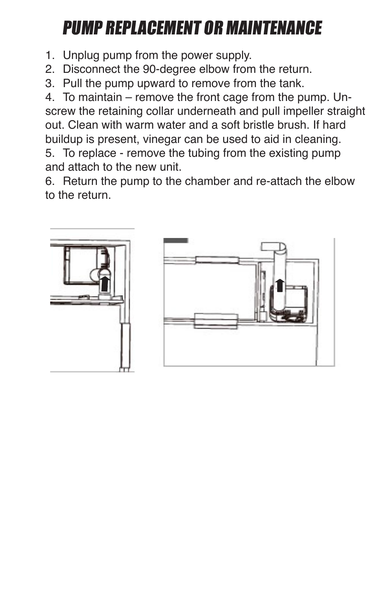## PUMP REPLACEMENT OR MAINTENANCE

- 1. Unplug pump from the power supply.
- 2. Disconnect the 90-degree elbow from the return.
- 3. Pull the pump upward to remove from the tank.

4. To maintain – remove the front cage from the pump. Unscrew the retaining collar underneath and pull impeller straight out. Clean with warm water and a soft bristle brush. If hard buildup is present, vinegar can be used to aid in cleaning. 5. To replace - remove the tubing from the existing pump

and attach to the new unit.

6. Return the pump to the chamber and re-attach the elbow to the return.



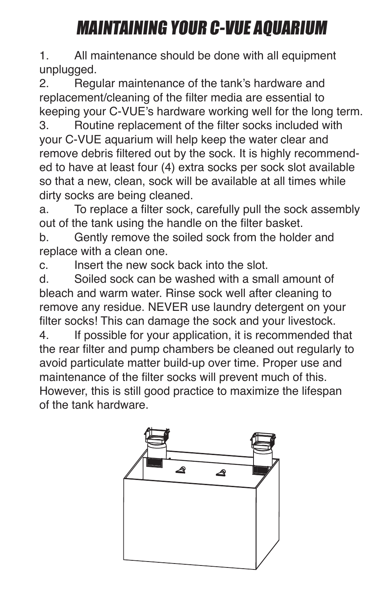## MAINTAINING YOUR C-VUE AQUARIUM

1. All maintenance should be done with all equipment unplugged.

2. Regular maintenance of the tank's hardware and replacement/cleaning of the filter media are essential to keeping your C-VUE's hardware working well for the long term. 3. Routine replacement of the filter socks included with your C-VUE aquarium will help keep the water clear and remove debris filtered out by the sock. It is highly recommended to have at least four (4) extra socks per sock slot available so that a new, clean, sock will be available at all times while dirty socks are being cleaned.

a. To replace a filter sock, carefully pull the sock assembly out of the tank using the handle on the filter basket.

b. Gently remove the soiled sock from the holder and replace with a clean one.

c. Insert the new sock back into the slot.

d. Soiled sock can be washed with a small amount of bleach and warm water. Rinse sock well after cleaning to remove any residue. NEVER use laundry detergent on your filter socks! This can damage the sock and your livestock.

4. If possible for your application, it is recommended that the rear filter and pump chambers be cleaned out regularly to avoid particulate matter build-up over time. Proper use and maintenance of the filter socks will prevent much of this. However, this is still good practice to maximize the lifespan of the tank hardware.

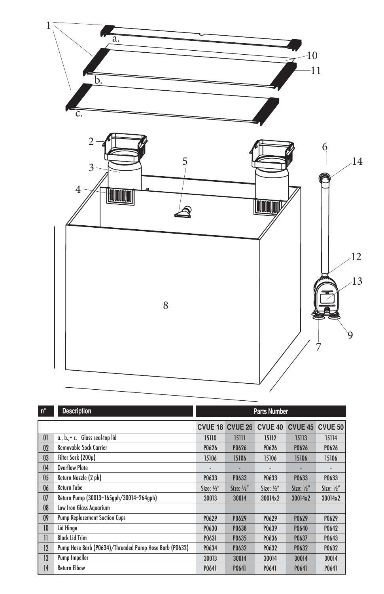

| $n^{\circ}$  | <b>Description</b>                                     | <b>Parts Number</b>   |                        |                       |                       |                       |
|--------------|--------------------------------------------------------|-----------------------|------------------------|-----------------------|-----------------------|-----------------------|
|              |                                                        |                       | <b>CVUE 18 CVUE 26</b> | <b>CVUE 40</b>        | <b>CVUE 45</b>        | CVUE 50               |
| 01           | a., b.,+c. Glass seal-top lid                          | 15110                 | 15111                  | 15112                 | 15113                 | 15114                 |
| 02           | <b>Removable Sock Carrier</b>                          | P0626                 | P0626                  | P0626                 | P0626                 | P0626                 |
| 03           | Filter Sock (200µ)                                     | 15106                 | 15106                  | 15106                 | 15106                 | 15106                 |
| 04           | <b>Overflow Plate</b>                                  |                       |                        |                       |                       |                       |
| 05           | Return Nozzle (2 pk)                                   | P0633                 | P0633                  | P0633                 | P0633                 | P0633                 |
| 06           | Return Tube                                            | Size: $\frac{1}{2}$ " | Size: $\frac{1}{2}$ "  | Size: $\frac{1}{2}$ " | Size: $\frac{1}{2}$ " | Size: $\frac{1}{2}$ " |
| 07           | Return Pump (30013=165gph/30014=264gph)                | 30013                 | 30014                  | 30014x2               | 30014x2               | 30014x2               |
| 08           | Low Iron Glass Aquarium                                |                       |                        |                       |                       |                       |
| 09           | <b>Pump Replacement Suction Cups</b>                   | P0629                 | P0629                  | P0629                 | P0629                 | P0629                 |
| 10           | Lid Hinge                                              | P0630                 | P0638                  | P0639                 | P0640                 | P0642                 |
| $\mathbf{I}$ | <b>Black Lid Trim</b>                                  | P0631                 | P0635                  | P0636                 | P0637                 | P0643                 |
| 12           | Pump Hose Barb (P0634)/Threaded Pump Hose Barb (P0632) | P0634                 | P0632                  | P0632                 | P0632                 | P0632                 |
| 13           | Pump Impeller                                          | 30013                 | 30014                  | 30014                 | 30014                 | 30014                 |
| 14           | <b>Return Elbow</b>                                    | P0641                 | P0641                  | P0641                 | P0641                 | P0641                 |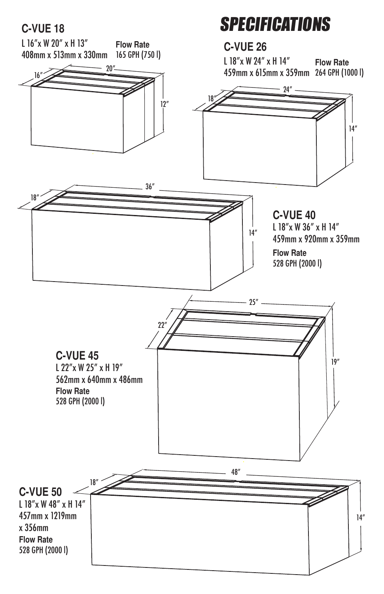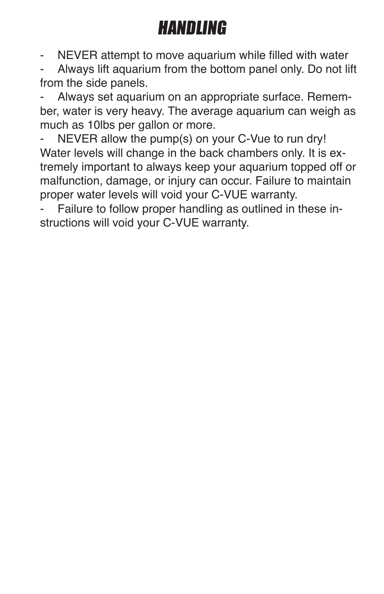### HANDLING

- NEVER attempt to move aquarium while filled with water

- Always lift aquarium from the bottom panel only. Do not lift from the side panels.

Always set aquarium on an appropriate surface. Remember, water is very heavy. The average aquarium can weigh as much as 10lbs per gallon or more.

NEVER allow the pump(s) on your C-Vue to run dry! Water levels will change in the back chambers only. It is extremely important to always keep your aquarium topped off or malfunction, damage, or injury can occur. Failure to maintain proper water levels will void your C-VUE warranty.

Failure to follow proper handling as outlined in these instructions will void your C-VUE warranty.